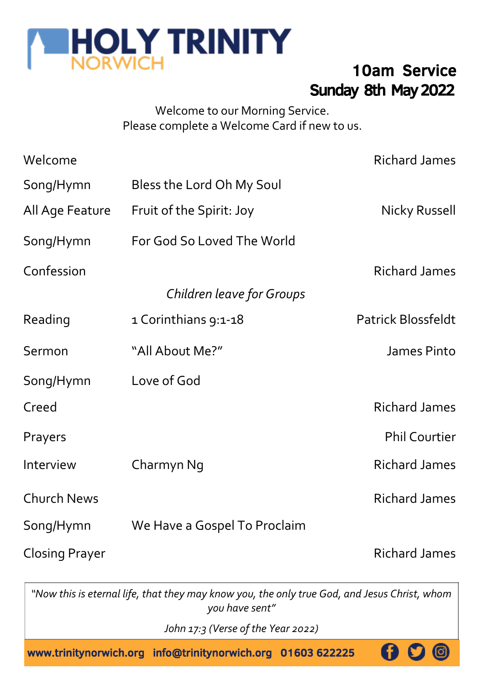

# Sunday 8th May 2022 10am Service

#### Welcome to our Morning Service. Please complete a Welcome Card if new to us.

| Welcome               |                              | <b>Richard James</b> |
|-----------------------|------------------------------|----------------------|
| Song/Hymn             | Bless the Lord Oh My Soul    |                      |
| All Age Feature       | Fruit of the Spirit: Joy     | Nicky Russell        |
| Song/Hymn             | For God So Loved The World   |                      |
| Confession            |                              | Richard James        |
|                       | Children leave for Groups    |                      |
| Reading               | 1 Corinthians 9:1-18         | Patrick Blossfeldt   |
| Sermon                | "All About Me?"              | James Pinto          |
| Song/Hymn             | Love of God                  |                      |
| Creed                 |                              | Richard James        |
| Prayers               |                              | <b>Phil Courtier</b> |
| Interview             | Charmyn Ng                   | Richard James        |
| <b>Church News</b>    |                              | <b>Richard James</b> |
| Song/Hymn             | We Have a Gospel To Proclaim |                      |
| <b>Closing Prayer</b> |                              | Richard James        |

*"Now this is eternal life, that they may know you, the only true God, and Jesus Christ, whom you have sent"*

*John 17:3 (Verse of the Year 2022)* 

www.trinitynorwich.org info@trinitynorwich.org 01603 622225